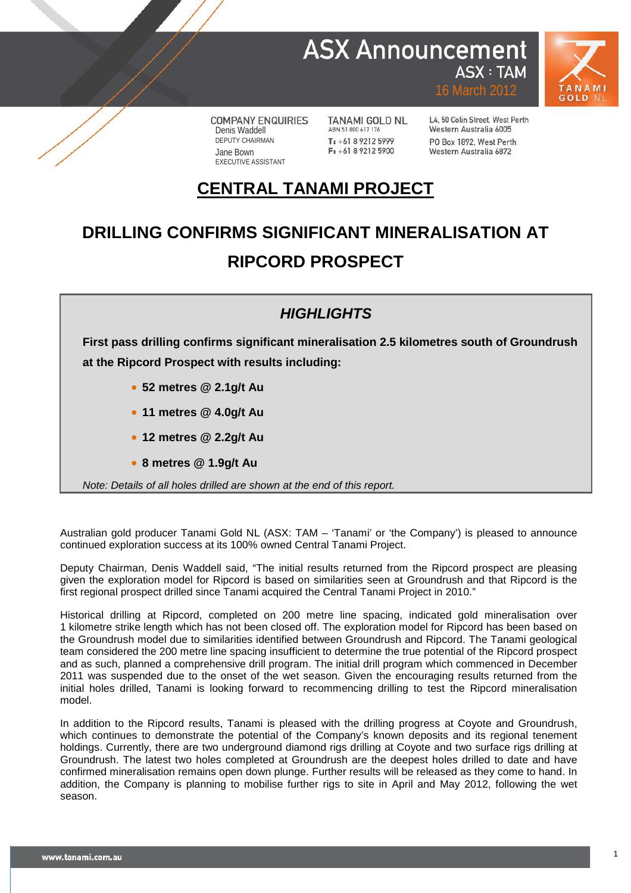### **ASX Announcement ASX: TAM**



**COMPANY ENQUIRIES** Denis Waddell DEPUTY CHAIRMAN Jane Bown EXECUTIVE ASSISTANT

**TANAMI GOLD NL** ABN 51 000 617 176 T: +61 8 9212 5999  $F: +61892125900$ 

L4, 50 Colin Street, West Perth Western Australia 6005 PO Roy 1892 West Perth Western Australia 6872

16 March 2012

## **CENTRAL TANAMI PROJECT**

# **DRILLING CONFIRMS SIGNIFICANT MINERALISATION AT RIPCORD PROSPECT**

#### *HIGHLIGHTS*

**First pass drilling confirms significant mineralisation 2.5 kilometres south of Groundrush at the Ripcord Prospect with results including:**

- **52 metres @ 2.1g/t Au**
- **11 metres @ 4.0g/t Au**
- **12 metres @ 2.2g/t Au**
- **8 metres @ 1.9g/t Au**

*Note: Details of all holes drilled are shown at the end of this report.*

Australian gold producer Tanami Gold NL (ASX: TAM – 'Tanami' or 'the Company') is pleased to announce continued exploration success at its 100% owned Central Tanami Project.

Deputy Chairman, Denis Waddell said, "The initial results returned from the Ripcord prospect are pleasing given the exploration model for Ripcord is based on similarities seen at Groundrush and that Ripcord is the first regional prospect drilled since Tanami acquired the Central Tanami Project in 2010."

Historical drilling at Ripcord, completed on 200 metre line spacing, indicated gold mineralisation over 1 kilometre strike length which has not been closed off. The exploration model for Ripcord has been based on the Groundrush model due to similarities identified between Groundrush and Ripcord. The Tanami geological team considered the 200 metre line spacing insufficient to determine the true potential of the Ripcord prospect and as such, planned a comprehensive drill program. The initial drill program which commenced in December 2011 was suspended due to the onset of the wet season. Given the encouraging results returned from the initial holes drilled, Tanami is looking forward to recommencing drilling to test the Ripcord mineralisation model.

In addition to the Ripcord results, Tanami is pleased with the drilling progress at Coyote and Groundrush, which continues to demonstrate the potential of the Company's known deposits and its regional tenement holdings. Currently, there are two underground diamond rigs drilling at Coyote and two surface rigs drilling at Groundrush. The latest two holes completed at Groundrush are the deepest holes drilled to date and have confirmed mineralisation remains open down plunge. Further results will be released as they come to hand. In addition, the Company is planning to mobilise further rigs to site in April and May 2012, following the wet season.

**1**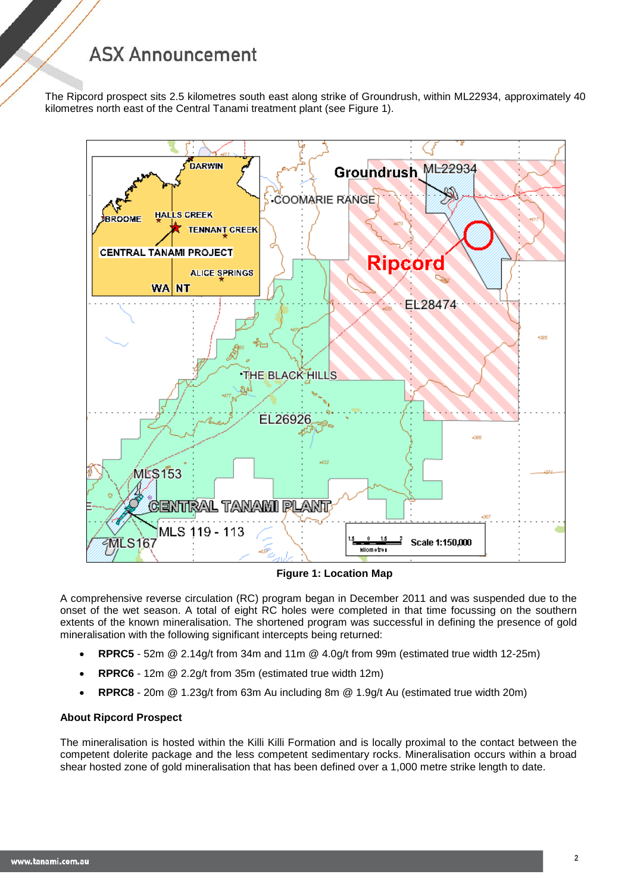The Ripcord prospect sits 2.5 kilometres south east along strike of Groundrush, within ML22934, approximately 40 kilometres north east of the Central Tanami treatment plant (see Figure 1).



**Figure 1: Location Map** 

A comprehensive reverse circulation (RC) program began in December 2011 and was suspended due to the onset of the wet season. A total of eight RC holes were completed in that time focussing on the southern extents of the known mineralisation. The shortened program was successful in defining the presence of gold mineralisation with the following significant intercepts being returned:

- **RPRC5** 52m @ 2.14g/t from 34m and 11m @ 4.0g/t from 99m (estimated true width 12-25m)
- **RPRC6** 12m @ 2.2g/t from 35m (estimated true width 12m)
- **RPRC8** 20m @ 1.23g/t from 63m Au including 8m @ 1.9g/t Au (estimated true width 20m)

#### **About Ripcord Prospect**

The mineralisation is hosted within the Killi Killi Formation and is locally proximal to the contact between the competent dolerite package and the less competent sedimentary rocks. Mineralisation occurs within a broad shear hosted zone of gold mineralisation that has been defined over a 1,000 metre strike length to date.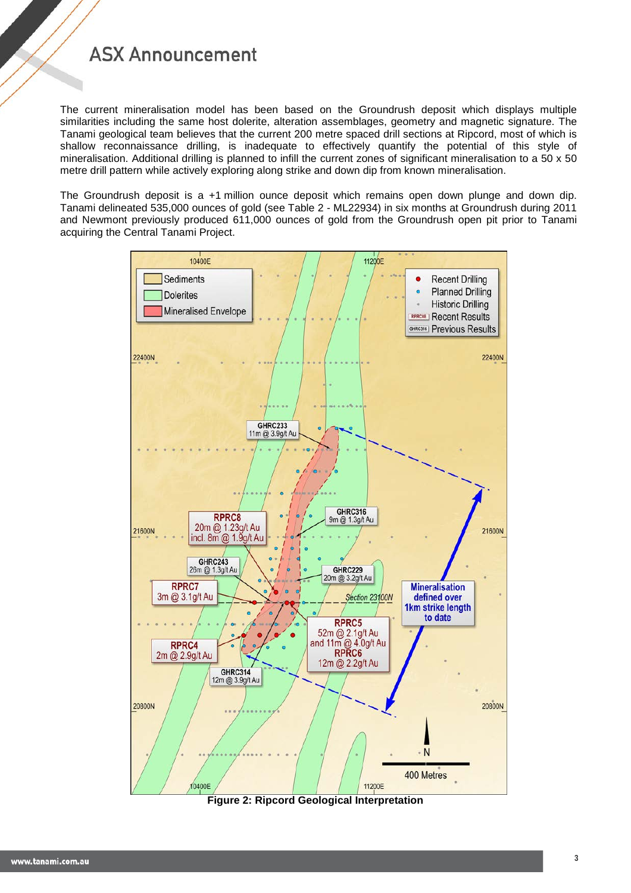The current mineralisation model has been based on the Groundrush deposit which displays multiple similarities including the same host dolerite, alteration assemblages, geometry and magnetic signature. The Tanami geological team believes that the current 200 metre spaced drill sections at Ripcord, most of which is shallow reconnaissance drilling, is inadequate to effectively quantify the potential of this style of mineralisation. Additional drilling is planned to infill the current zones of significant mineralisation to a 50 x 50 metre drill pattern while actively exploring along strike and down dip from known mineralisation.

The Groundrush deposit is a +1 million ounce deposit which remains open down plunge and down dip. Tanami delineated 535,000 ounces of gold (see Table 2 - ML22934) in six months at Groundrush during 2011 and Newmont previously produced 611,000 ounces of gold from the Groundrush open pit prior to Tanami acquiring the Central Tanami Project.



**Figure 2: Ripcord Geological Interpretation**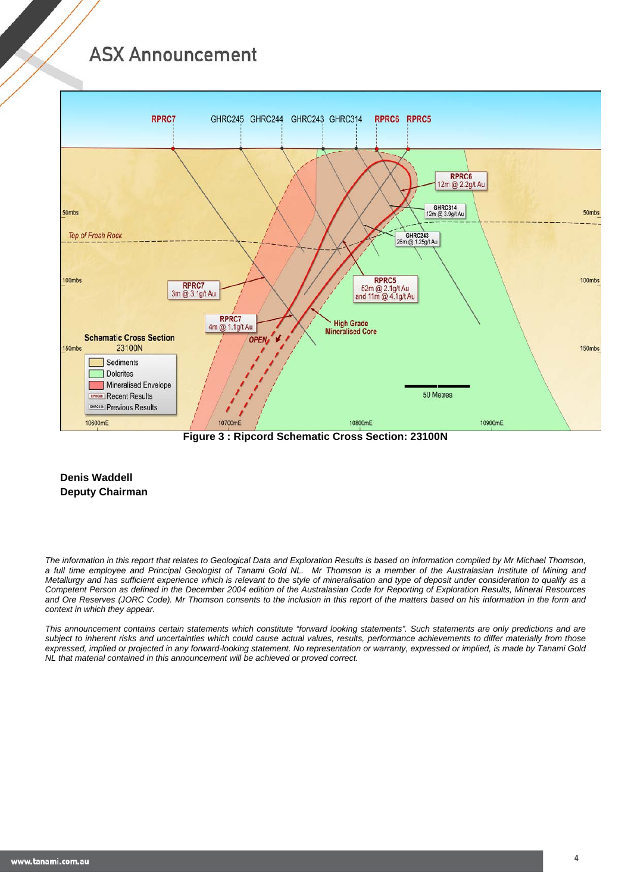

**Figure 3 : Ripcord Schematic Cross Section: 23100N**

#### **Denis Waddell Deputy Chairman**

*The information in this report that relates to Geological Data and Exploration Results is based on information compiled by Mr Michael Thomson, a full time employee and Principal Geologist of Tanami Gold NL. Mr Thomson is a member of the Australasian Institute of Mining and Metallurgy and has sufficient experience which is relevant to the style of mineralisation and type of deposit under consideration to qualify as a Competent Person as defined in the December 2004 edition of the Australasian Code for Reporting of Exploration Results, Mineral Resources and Ore Reserves (JORC Code). Mr Thomson consents to the inclusion in this report of the matters based on his information in the form and context in which they appear.*

*This announcement contains certain statements which constitute "forward looking statements". Such statements are only predictions and are subject to inherent risks and uncertainties which could cause actual values, results, performance achievements to differ materially from those expressed, implied or projected in any forward-looking statement. No representation or warranty, expressed or implied, is made by Tanami Gold NL that material contained in this announcement will be achieved or proved correct.*